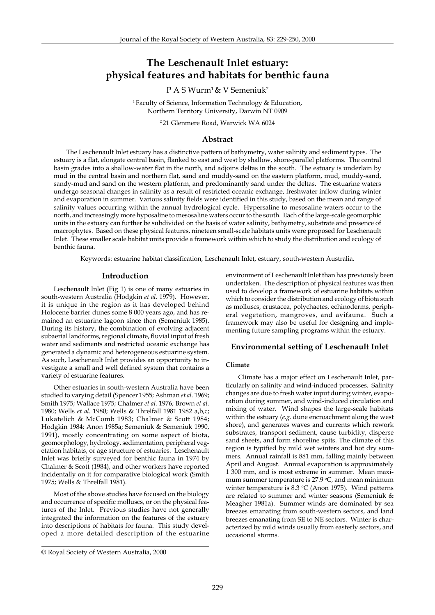# **The Leschenault Inlet estuary: physical features and habitats for benthic fauna**

P A S Wurm<sup>1</sup> & V Semeniuk<sup>2</sup>

<sup>1</sup> Faculty of Science, Information Technology & Education, Northern Territory University, Darwin NT 0909

2 21 Glenmere Road, Warwick WA 6024

# **Abstract**

The Leschenault Inlet estuary has a distinctive pattern of bathymetry, water salinity and sediment types. The estuary is a flat, elongate central basin, flanked to east and west by shallow, shore-parallel platforms. The central basin grades into a shallow-water flat in the north, and adjoins deltas in the south. The estuary is underlain by mud in the central basin and northern flat, sand and muddy-sand on the eastern platform, mud, muddy-sand, sandy-mud and sand on the western platform, and predominantly sand under the deltas. The estuarine waters undergo seasonal changes in salinity as a result of restricted oceanic exchange, freshwater inflow during winter and evaporation in summer. Various salinity fields were identified in this study, based on the mean and range of salinity values occurring within the annual hydrological cycle. Hypersaline to mesosaline waters occur to the north, and increasingly more hyposaline to mesosaline waters occur to the south. Each of the large-scale geomorphic units in the estuary can further be subdivided on the basis of water salinity, bathymetry, substrate and presence of macrophytes. Based on these physical features, nineteen small-scale habitats units were proposed for Leschenault Inlet. These smaller scale habitat units provide a framework within which to study the distribution and ecology of benthic fauna.

Keywords: estuarine habitat classification, Leschenault Inlet, estuary, south-western Australia.

# **Introduction**

Leschenault Inlet (Fig 1) is one of many estuaries in south-western Australia (Hodgkin *et al.* 1979). However, it is unique in the region as it has developed behind Holocene barrier dunes some 8 000 years ago, and has remained an estuarine lagoon since then (Semeniuk 1985). During its history, the combination of evolving adjacent subaerial landforms, regional climate, fluvial input of fresh water and sediments and restricted oceanic exchange has generated a dynamic and heterogeneous estuarine system. As such, Leschenault Inlet provides an opportunity to investigate a small and well defined system that contains a variety of estuarine features.

Other estuaries in south-western Australia have been studied to varying detail (Spencer 1955; Ashman *et al.* 1969; Smith 1975; Wallace 1975; Chalmer *et al.* 1976; Brown *et al.* 1980; Wells *et al.* 1980; Wells & Threlfall 1981 1982 a,b,c; Lukatelich & McComb 1983; Chalmer & Scott 1984; Hodgkin 1984; Anon 1985a; Semeniuk & Semeniuk 1990, 1991), mostly concentrating on some aspect of biota, geomorphology, hydrology, sedimentation, peripheral vegetation habitats, or age structure of estuaries. Leschenault Inlet was briefly surveyed for benthic fauna in 1974 by Chalmer & Scott (1984), and other workers have reported incidentally on it for comparative biological work (Smith 1975; Wells & Threlfall 1981).

Most of the above studies have focused on the biology and occurrence of specific molluscs, or on the physical features of the Inlet. Previous studies have not generally integrated the information on the features of the estuary into descriptions of habitats for fauna. This study developed a more detailed description of the estuarine environment of Leschenault Inlet than has previously been undertaken. The description of physical features was then used to develop a framework of estuarine habitats within which to consider the distribution and ecology of biota such as molluscs, crustacea, polychaetes, echinoderms, peripheral vegetation, mangroves, and avifauna. Such a framework may also be useful for designing and implementing future sampling programs within the estuary.

# **Environmental setting of Leschenault Inlet**

# **Climate**

Climate has a major effect on Leschenault Inlet, particularly on salinity and wind-induced processes. Salinity changes are due to fresh water input during winter, evaporation during summer, and wind-induced circulation and mixing of water. Wind shapes the large-scale habitats within the estuary (*e.g.* dune encroachment along the west shore), and generates waves and currents which rework substrates, transport sediment, cause turbidity, disperse sand sheets, and form shoreline spits. The climate of this region is typified by mild wet winters and hot dry summers. Annual rainfall is 881 mm, falling mainly between April and August. Annual evaporation is approximately 1 300 mm, and is most extreme in summer. Mean maximum summer temperature is 27.9  $\mathrm{^{\circ}C}$ , and mean minimum winter temperature is  $8.3 \text{ °C}$  (Anon 1975). Wind patterns are related to summer and winter seasons (Semeniuk & Meagher 1981a). Summer winds are dominated by sea breezes emanating from south-western sectors, and land breezes emanating from SE to NE sectors. Winter is characterized by mild winds usually from easterly sectors, and occasional storms.

<sup>©</sup> Royal Society of Western Australia, 2000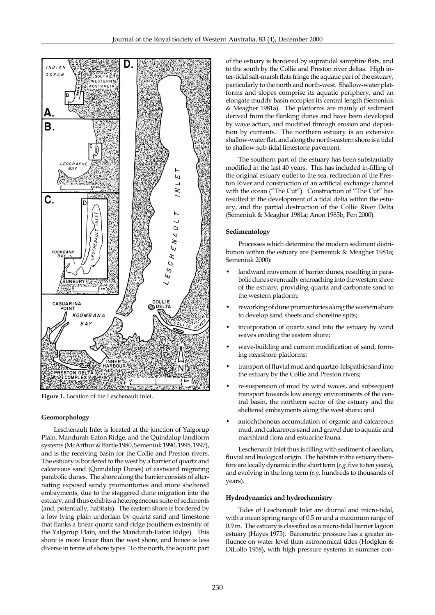

**Figure 1.** Location of the Leschenault Inlet.

# **Geomorphology**

Leschenault Inlet is located at the junction of Yalgorup Plain, Mandurah-Eaton Ridge, and the Quindalup landform systems (McArthur & Bartle 1980, Semeniuk 1990, 1995, 1997), and is the receiving basin for the Collie and Preston rivers. The estuary is bordered to the west by a barrier of quartz and calcareous sand (Quindalup Dunes) of eastward migrating parabolic dunes. The shore along the barrier consists of alternating exposed sandy promontories and more sheltered embayments, due to the staggered dune migration into the estuary, and thus exhibits a heterogeneous suite of sediments (and, potentially, habitats). The eastern shore is bordered by a low lying plain underlain by quartz sand and limestone that flanks a linear quartz sand ridge (southern extremity of the Yalgorup Plain, and the Mandurah-Eaton Ridge). This shore is more linear than the west shore, and hence is less diverse in terms of shore types. To the north, the aquatic part of the estuary is bordered by supratidal samphire flats, and to the south by the Collie and Preston river deltas. High inter-tidal salt-marsh flats fringe the aquatic part of the estuary, particularly to the north and north-west. Shallow-water platforms and slopes comprise its aquatic periphery, and an elongate muddy basin occupies its central length (Semeniuk & Meagher 1981a). The platforms are mainly of sediment derived from the flanking dunes and have been developed by wave action, and modified through erosion and deposition by currents. The northern estuary is an extensive shallow-water flat, and along the north-eastern shore is a tidal to shallow sub-tidal limestone pavement.

The southern part of the estuary has been substantially modified in the last 40 years. This has included in-filling of the original estuary outlet to the sea, redirection of the Preston River and construction of an artificial exchange channel with the ocean ("The Cut"). Construction of "The Cut" has resulted in the development of a tidal delta within the estuary, and the partial destruction of the Collie River Delta (Semeniuk & Meagher 1981a; Anon 1985b; Pen 2000).

# **Sedimentology**

Processes which determine the modern sediment distribution within the estuary are (Semeniuk & Meagher 1981a; Semeniuk 2000):

- landward movement of barrier dunes, resulting in parabolic dunes eventually encroaching into the western shore of the estuary, providing quartz and carbonate sand to the western platform;
- reworking of dune promontories along the western shore to develop sand sheets and shoreline spits;
- incorporation of quartz sand into the estuary by wind waves eroding the eastern shore;
- wave-building and current modification of sand, forming nearshore platforms;
- transport of fluvial mud and quartzo-felspathic sand into the estuary by the Collie and Preston rivers;
- re-suspension of mud by wind waves, and subsequent transport towards low energy environments of the central basin, the northern sector of the estuary and the sheltered embayments along the west shore; and
- autochthonous accumulation of organic and calcareous mud, and calcareous sand and gravel due to aquatic and marshland flora and estuarine fauna.

Leschenault Inlet thus is filling with sediment of aeolian, fluvial and biological origin. The habitats in the estuary therefore are locally dynamic in the short term (*e.g.* five to ten years), and evolving in the long term (*e.g.* hundreds to thousands of years).

#### **Hydrodynamics and hydrochemistry**

Tides of Leschenault Inlet are diurnal and micro-tidal, with a mean spring range of 0.5 m and a maximum range of 0.9 m. The estuary is classified as a micro-tidal barrier lagoon estuary (Hayes 1975). Barometric pressure has a greater influence on water level than astronomical tides (Hodgkin & DiLollo 1958), with high pressure systems in summer con-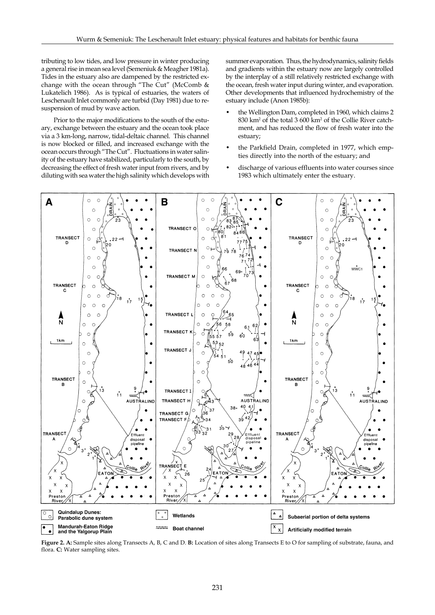tributing to low tides, and low pressure in winter producing a general rise in mean sea level (Semeniuk & Meagher 1981a). Tides in the estuary also are dampened by the restricted exchange with the ocean through "The Cut" (McComb & Lukatelich 1986). As is typical of estuaries, the waters of Leschenault Inlet commonly are turbid (Day 1981) due to resuspension of mud by wave action.

Prior to the major modifications to the south of the estuary, exchange between the estuary and the ocean took place via a 3 km-long, narrow, tidal-deltaic channel. This channel is now blocked or filled, and increased exchange with the ocean occurs through "The Cut". Fluctuations in water salinity of the estuary have stabilized, particularly to the south, by decreasing the effect of fresh water input from rivers, and by diluting with sea water the high salinity which develops with summer evaporation. Thus, the hydrodynamics, salinity fields and gradients within the estuary now are largely controlled by the interplay of a still relatively restricted exchange with the ocean, fresh water input during winter, and evaporation. Other developments that influenced hydrochemistry of the estuary include (Anon 1985b):

- the Wellington Dam, completed in 1960, which claims 2 830 km2 of the total 3 600 km2 of the Collie River catchment, and has reduced the flow of fresh water into the estuary;
- the Parkfield Drain, completed in 1977, which empties directly into the north of the estuary; and
- discharge of various effluents into water courses since 1983 which ultimately enter the estuary.



**Figure 2. A:** Sample sites along Transects A, B, C and D. **B:** Location of sites along Transects E to O for sampling of substrate, fauna, and flora. **C:** Water sampling sites.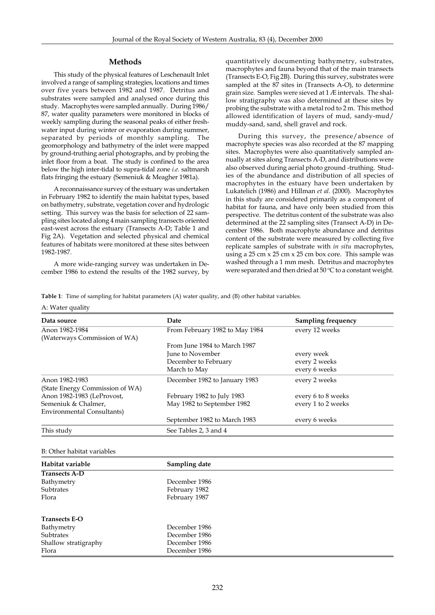# **Methods**

This study of the physical features of Leschenault Inlet involved a range of sampling strategies, locations and times over five years between 1982 and 1987. Detritus and substrates were sampled and analysed once during this study. Macrophytes were sampled annually. During 1986/ 87, water quality parameters were monitored in blocks of weekly sampling during the seasonal peaks of either freshwater input during winter or evaporation during summer, separated by periods of monthly sampling. The geomorphology and bathymetry of the inlet were mapped by ground-truthing aerial photographs, and by probing the inlet floor from a boat. The study is confined to the area below the high inter-tidal to supra-tidal zone *i.e.* saltmarsh flats fringing the estuary (Semeniuk & Meagher 1981a).

A reconnaissance survey of the estuary was undertaken in February 1982 to identify the main habitat types, based on bathymetry, substrate, vegetation cover and hydrologic setting. This survey was the basis for selection of 22 sampling sites located along 4 main sampling transects oriented east-west across the estuary (Transects A-D; Table 1 and Fig 2A). Vegetation and selected physical and chemical features of habitats were monitored at these sites between 1982-1987.

A more wide-ranging survey was undertaken in December 1986 to extend the results of the 1982 survey, by quantitatively documenting bathymetry, substrates, macrophytes and fauna beyond that of the main transects (Transects E-O, Fig 2B). During this survey, substrates were sampled at the 87 sites in (Transects A-O), to determine grain size. Samples were sieved at 1 Æ intervals. The shallow stratigraphy was also determined at these sites by probing the substrate with a metal rod to 2 m. This method allowed identification of layers of mud, sandy-mud/ muddy-sand, sand, shell gravel and rock.

During this survey, the presence/absence of macrophyte species was also recorded at the 87 mapping sites. Macrophytes were also quantitatively sampled annually at sites along Transects A-D, and distributions were also observed during aerial photo ground -truthing. Studies of the abundance and distribution of all species of macrophytes in the estuary have been undertaken by Lukatelich (1986) and Hillman *et al.* (2000). Macrophytes in this study are considered primarily as a component of habitat for fauna, and have only been studied from this perspective. The detritus content of the substrate was also determined at the 22 sampling sites (Transect A-D) in December 1986. Both macrophyte abundance and detritus content of the substrate were measured by collecting five replicate samples of substrate with *in situ* macrophytes, using a  $25 \text{ cm} \times 25 \text{ cm} \times 25 \text{ cm}$  box core. This sample was washed through a 1 mm mesh. Detritus and macrophytes were separated and then dried at 50  $\rm ^oC$  to a constant weight.

**Table 1**: Time of sampling for habitat parameters (A) water quality, and (B) other habitat variables.

## A: Water quality

| Data source                     | Date                           | <b>Sampling frequency</b> |
|---------------------------------|--------------------------------|---------------------------|
| Anon 1982-1984                  | From February 1982 to May 1984 | every 12 weeks            |
| (Waterways Commission of WA)    |                                |                           |
|                                 | From June 1984 to March 1987   |                           |
|                                 | June to November               | every week                |
|                                 | December to February           | every 2 weeks             |
|                                 | March to May                   | every 6 weeks             |
| Anon 1982-1983                  | December 1982 to January 1983  | every 2 weeks             |
| (State Energy Commission of WA) |                                |                           |
| Anon 1982-1983 (LeProvost,      | February 1982 to July 1983     | every 6 to 8 weeks        |
| Semeniuk & Chalmer,             | May 1982 to September 1982     | every 1 to 2 weeks        |
| Environmental Consultants)      |                                |                           |
|                                 | September 1982 to March 1983   | every 6 weeks             |
| This study                      | See Tables 2, 3 and 4          |                           |

#### B: Other habitat variables

| Habitat variable     | Sampling date |
|----------------------|---------------|
| <b>Transects A-D</b> |               |
| Bathymetry           | December 1986 |
| Subtrates            | February 1982 |
| Flora                | February 1987 |
| <b>Transects E-O</b> |               |
| Bathymetry           | December 1986 |
| Subtrates            | December 1986 |
| Shallow stratigraphy | December 1986 |
| Flora                | December 1986 |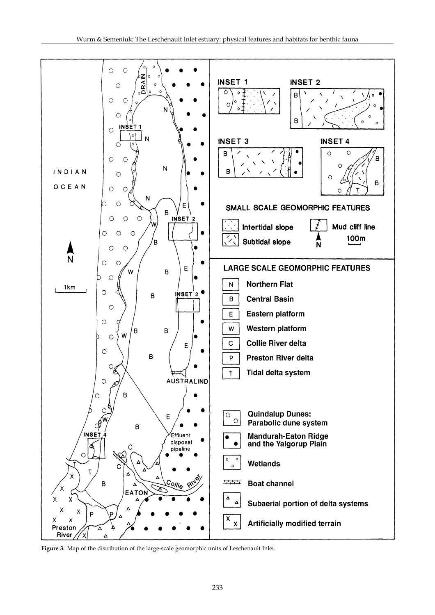

**Figure 3.** Map of the distribution of the large-scale geomorphic units of Leschenault Inlet.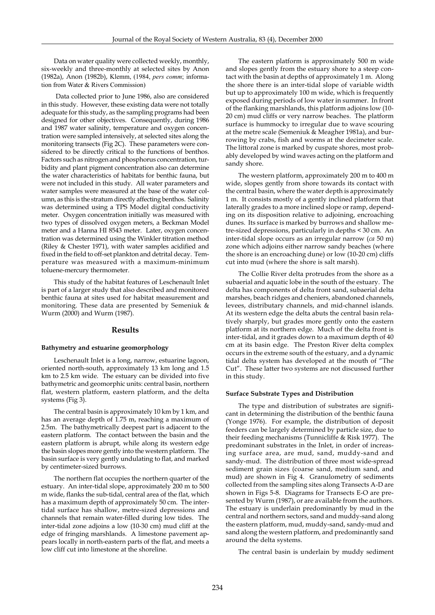Data on water quality were collected weekly, monthly, six-weekly and three-monthly at selected sites by Anon (1982a), Anon (1982b), Klemm, (1984, *pers comm*; information from Water & Rivers Commission)

 Data collected prior to June 1986, also are considered in this study. However, these existing data were not totally adequate for this study, as the sampling programs had been designed for other objectives. Consequently, during 1986 and 1987 water salinity, temperature and oxygen concentration were sampled intensively, at selected sites along the monitoring transects (Fig 2C). These parameters were considered to be directly critical to the functions of benthos. Factors such as nitrogen and phosphorus concentration, turbidity and plant pigment concentration also can determine the water characteristics of habitats for benthic fauna, but were not included in this study. All water parameters and water samples were measured at the base of the water column, as this is the stratum directly affecting benthos. Salinity was determined using a TPS Model digital conductivity meter. Oxygen concentration initially was measured with two types of dissolved oxygen meters, a Beckman Model meter and a Hanna HI 8543 meter. Later, oxygen concentration was determined using the Winkler titration method (Riley & Chester 1971), with water samples acidified and fixed in the field to off-set plankton and detrital decay. Temperature was measured with a maximum-minimum toluene-mercury thermometer.

This study of the habitat features of Leschenault Inlet is part of a larger study that also described and monitored benthic fauna at sites used for habitat measurement and monitoring. These data are presented by Semeniuk & Wurm (2000) and Wurm (1987).

# **Results**

#### **Bathymetry and estuarine geomorphology**

Leschenault Inlet is a long, narrow, estuarine lagoon, oriented north-south, approximately 13 km long and 1.5 km to 2.5 km wide. The estuary can be divided into five bathymetric and geomorphic units: central basin, northern flat, western platform, eastern platform, and the delta systems (Fig 3).

The central basin is approximately 10 km by 1 km, and has an average depth of 1.75 m, reaching a maximum of 2.5m. The bathymetrically deepest part is adjacent to the eastern platform. The contact between the basin and the eastern platform is abrupt, while along its western edge the basin slopes more gently into the western platform. The basin surface is very gently undulating to flat, and marked by centimeter-sized burrows.

The northern flat occupies the northern quarter of the estuary. An inter-tidal slope, approximately 200 m to 500 m wide, flanks the sub-tidal, central area of the flat, which has a maximum depth of approximately 50 cm. The intertidal surface has shallow, metre-sized depressions and channels that remain water-filled during low tides. The inter-tidal zone adjoins a low (10-30 cm) mud cliff at the edge of fringing marshlands. A limestone pavement appears locally in north-eastern parts of the flat, and meets a low cliff cut into limestone at the shoreline.

The eastern platform is approximately 500 m wide and slopes gently from the estuary shore to a steep contact with the basin at depths of approximately 1 m. Along the shore there is an inter-tidal slope of variable width but up to approximately 100 m wide, which is frequently exposed during periods of low water in summer. In front of the flanking marshlands, this platform adjoins low (10- 20 cm) mud cliffs or very narrow beaches. The platform surface is hummocky to irregular due to wave scouring at the metre scale (Semeniuk & Meagher 1981a), and burrowing by crabs, fish and worms at the decimeter scale. The littoral zone is marked by cuspate shores, most probably developed by wind waves acting on the platform and sandy shore.

The western platform, approximately 200 m to 400 m wide, slopes gently from shore towards its contact with the central basin, where the water depth is approximately 1 m. It consists mostly of a gently inclined platform that laterally grades to a more inclined slope or ramp, depending on its disposition relative to adjoining, encroaching dunes. Its surface is marked by burrows and shallow metre-sized depressions, particularly in depths < 30 cm. An inter-tidal slope occurs as an irregular narrow (*ca* 50 m) zone which adjoins either narrow sandy beaches (where the shore is an encroaching dune) or low (10-20 cm) cliffs cut into mud (where the shore is salt marsh).

The Collie River delta protrudes from the shore as a subaerial and aquatic lobe in the south of the estuary. The delta has components of delta front sand, subaerial delta marshes, beach ridges and cheniers, abandoned channels, levees, distributary channels, and mid-channel islands. At its western edge the delta abuts the central basin relatively sharply, but grades more gently onto the eastern platform at its northern edge. Much of the delta front is inter-tidal, and it grades down to a maximum depth of 40 cm at its basin edge. The Preston River delta complex occurs in the extreme south of the estuary, and a dynamic tidal delta system has developed at the mouth of "The Cut". These latter two systems are not discussed further in this study.

#### **Surface Substrate Types and Distribution**

The type and distribution of substrates are significant in determining the distribution of the benthic fauna (Yonge 1976). For example, the distribution of deposit feeders can be largely determined by particle size, due to their feeding mechanisms (Tunnicliffe & Risk 1977). The predominant substrates in the Inlet, in order of increasing surface area, are mud, sand, muddy-sand and sandy-mud. The distribution of three most wide-spread sediment grain sizes (coarse sand, medium sand, and mud) are shown in Fig 4. Granulometry of sediments collected from the sampling sites along Transects A-D are shown in Figs 5-8. Diagrams for Transects E-O are presented by Wurm (1987), or are available from the authors. The estuary is underlain predominantly by mud in the central and northern sectors, sand and muddy-sand along the eastern platform, mud, muddy-sand, sandy-mud and sand along the western platform, and predominantly sand around the delta systems.

The central basin is underlain by muddy sediment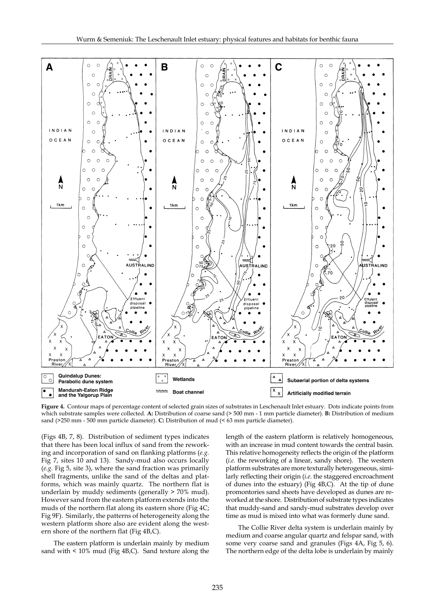

**Figure 4.** Contour maps of percentage content of selected grain sizes of substrates in Leschenault Inlet estuary. Dots indicate points from which substrate samples were collected. **A:** Distribution of coarse sand (> 500 mm - 1 mm particle diameter). **B:** Distribution of medium sand (>250 mm - 500 mm particle diameter). **C:** Distribution of mud (< 63 mm particle diameter).

(Figs 4B, 7, 8). Distribution of sediment types indicates that there has been local influx of sand from the reworking and incorporation of sand on flanking platforms (*e.g.* Fig 7, sites 10 and 13). Sandy-mud also occurs locally (*e.g.* Fig 5, site 3), where the sand fraction was primarily shell fragments, unlike the sand of the deltas and platforms, which was mainly quartz. The northern flat is underlain by muddy sediments (generally > 70% mud). However sand from the eastern platform extends into the muds of the northern flat along its eastern shore (Fig 4C; Fig 9F). Similarly, the patterns of heterogeneity along the western platform shore also are evident along the western shore of the northern flat (Fig 4B,C).

The eastern platform is underlain mainly by medium sand with < 10% mud (Fig 4B,C). Sand texture along the length of the eastern platform is relatively homogeneous, with an increase in mud content towards the central basin. This relative homogeneity reflects the origin of the platform (*i.e.* the reworking of a linear, sandy shore). The western platform substrates are more texturally heterogeneous, similarly reflecting their origin (*i.e.* the staggered encroachment of dunes into the estuary) (Fig 4B,C). At the tip of dune promontories sand sheets have developed as dunes are reworked at the shore. Distribution of substrate types indicates that muddy-sand and sandy-mud substrates develop over time as mud is mixed into what was formerly dune sand.

The Collie River delta system is underlain mainly by medium and coarse angular quartz and felspar sand, with some very coarse sand and granules (Figs 4A, Fig 5, 6). The northern edge of the delta lobe is underlain by mainly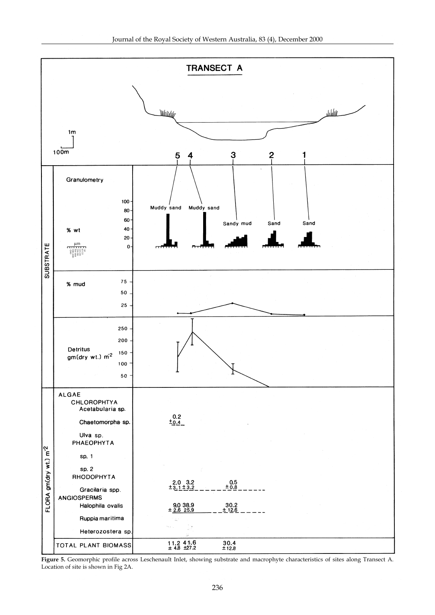

**Figure 5.** Geomorphic profile across Leschenault Inlet, showing substrate and macrophyte characteristics of sites along Transect A. Location of site is shown in Fig 2A.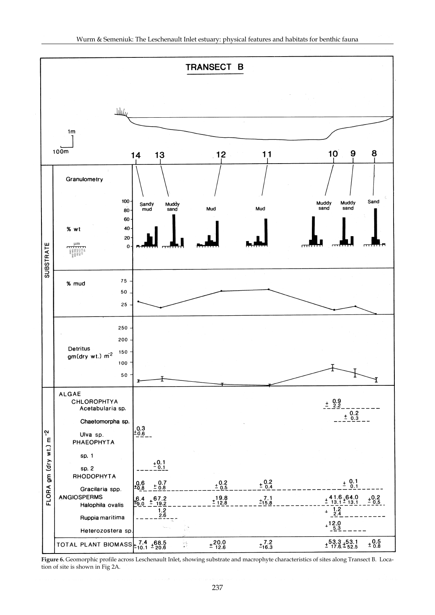

**Figure 6.** Geomorphic profile across Leschenault Inlet, showing substrate and macrophyte characteristics of sites along Transect B. Location of site is shown in Fig 2A.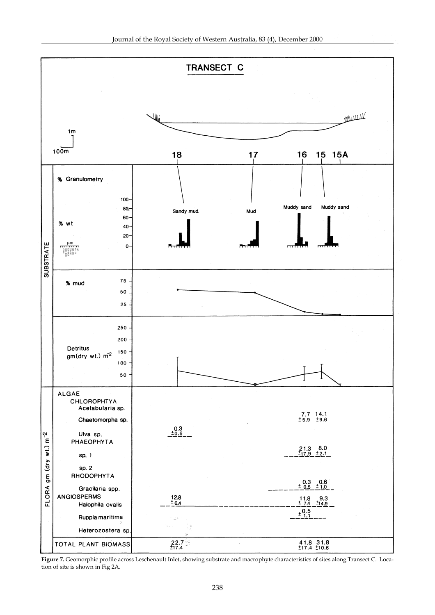

**Figure 7.** Geomorphic profile across Leschenault Inlet, showing substrate and macrophyte characteristics of sites along Transect C. Location of site is shown in Fig 2A.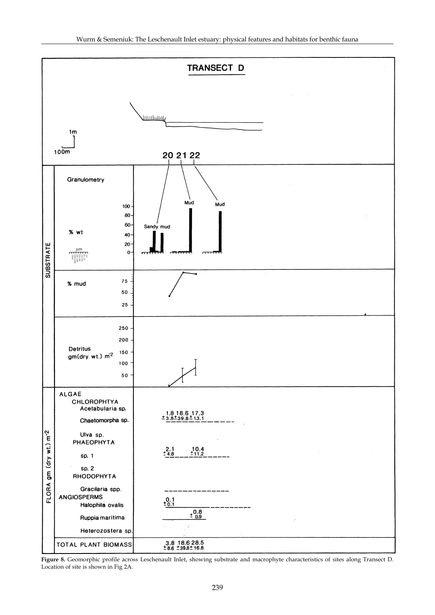

**Figure 8.** Geomorphic profile across Leschenault Inlet, showing substrate and macrophyte characteristics of sites along Transect D. Location of site is shown in Fig 2A.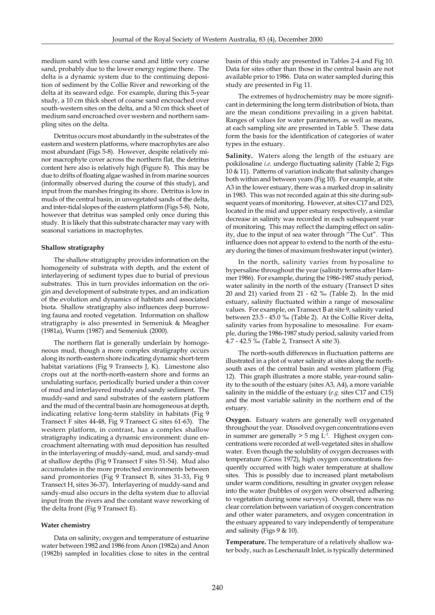medium sand with less coarse sand and little very coarse sand, probably due to the lower energy regime there. The delta is a dynamic system due to the continuing deposition of sediment by the Collie River and reworking of the delta at its seaward edge. For example, during this 5-year study, a 10 cm thick sheet of coarse sand encroached over south-western sites on the delta, and a 50 cm thick sheet of medium sand encroached over western and northern sampling sites on the delta.

Detritus occurs most abundantly in the substrates of the eastern and western platforms, where macrophytes are also most abundant (Figs 5-8). However, despite relatively minor macrophyte cover across the northern flat, the detritus content here also is relatively high (Figure 8). This may be due to drifts of floating algae washed in from marine sources (informally observed during the course of this study), and input from the marshes fringing its shore. Detritus is low in muds of the central basin, in unvegetated sands of the delta, and inter-tidal slopes of the eastern platform (Figs 5-8). Note, however that detritus was sampled only once during this study. It is likely that this substrate character may vary with seasonal variations in macrophytes.

# **Shallow stratigraphy**

The shallow stratigraphy provides information on the homogeneity of substrata with depth, and the extent of interlayering of sediment types due to burial of previous substrates. This in turn provides information on the origin and development of substrate types, and an indication of the evolution and dynamics of habitats and associated biota. Shallow stratigraphy also influences deep burrowing fauna and rooted vegetation. Information on shallow stratigraphy is also presented in Semeniuk & Meagher (1981a), Wurm (1987) and Semeniuk (2000).

The northern flat is generally underlain by homogeneous mud, though a more complex stratigraphy occurs along its north-eastern shore indicating dynamic short-term habitat variations (Fig 9 Transects J, K). Limestone also crops out at the north-north-eastern shore and forms an undulating surface, periodically buried under a thin cover of mud and interlayered muddy and sandy sediment. The muddy-sand and sand substrates of the eastern platform and the mud of the central basin are homogeneous at depth, indicating relative long-term stability in habitats (Fig 9 Transect F sites 44-48, Fig 9 Transect G sites 61-63). The western platform, in contrast, has a complex shallow stratigraphy indicating a dynamic environment: dune encroachment alternating with mud deposition has resulted in the interlayering of muddy-sand, mud, and sandy-mud at shallow depths (Fig 9 Transect F sites 51-54). Mud also accumulates in the more protected environments between sand promontories (Fig 9 Transect B, sites 31-33, Fig 9 Transect H, sites 36-37). Interlayering of muddy-sand and sandy-mud also occurs in the delta system due to alluvial input from the rivers and the constant wave reworking of the delta front (Fig 9 Transect E).

# **Water chemistry**

Data on salinity, oxygen and temperature of estuarine water between 1982 and 1986 from Anon (1982a) and Anon (1982b) sampled in localities close to sites in the central basin of this study are presented in Tables 2-4 and Fig 10. Data for sites other than those in the central basin are not available prior to 1986. Data on water sampled during this study are presented in Fig 11.

The extremes of hydrochemistry may be more significant in determining the long term distribution of biota, than are the mean conditions prevailing in a given habitat. Ranges of values for water parameters, as well as means, at each sampling site are presented in Table 5. These data form the basis for the identification of categories of water types in the estuary.

**Salinity.** Waters along the length of the estuary are poikilosaline *i.e.* undergo fluctuating salinity (Table 2; Figs 10 & 11). Patterns of variation indicate that salinity changes both within and between years (Fig 10). For example, at site A3 in the lower estuary, there was a marked drop in salinity in 1983. This was not recorded again at this site during subsequent years of monitoring. However, at sites C17 and D23, located in the mid and upper estuary respectively, a similar decrease in salinity was recorded in each subsequent year of monitoring. This may reflect the damping effect on salinity, due to the input of sea water through "The Cut". This influence does not appear to extend to the north of the estuary during the times of maximum freshwater input (winter).

In the north, salinity varies from hyposaline to hypersaline throughout the year (salinity terms after Hammer 1986). For example, during the 1986-1987 study period, water salinity in the north of the estuary (Transect D sites 20 and 21) varied from 21 - 62 ‰ (Table 2). In the mid estuary, salinity fluctuated within a range of mesosaline values. For example, on Transect B at site 9, salinity varied between 23.5 - 45.0 ‰ (Table 2). At the Collie River delta, salinity varies from hyposaline to mesosaline. For example, during the 1986-1987 study period, salinity varied from 4.7 - 42.5 ‰ (Table 2, Transect A site 3).

The north-south differences in fluctuation patterns are illustrated in a plot of water salinity at sites along the northsouth axes of the central basin and western platform (Fig 12). This graph illustrates a more stable, year-round salinity to the south of the estuary (sites A3, A4), a more variable salinity in the middle of the estuary (*e.g.* sites C17 and C15) and the most variable salinity in the northern end of the estuary.

**Oxygen.** Estuary waters are generally well oxygenated throughout the year. Dissolved oxygen concentrations even in summer are generally  $>$  5 mg  $L<sup>-1</sup>$ . Highest oxygen concentrations were recorded at well-vegetated sites in shallow water. Even though the solubility of oxygen decreases with temperature (Gross 1972), high oxygen concentrations frequently occurred with high water temperature at shallow sites. This is possibly due to increased plant metabolism under warm conditions, resulting in greater oxygen release into the water (bubbles of oxygen were observed adhering to vegetation during some surveys). Overall, there was no clear correlation between variation of oxygen concentration and other water parameters, and oxygen concentration in the estuary appeared to vary independently of temperature and salinity (Figs 9 & 10).

**Temperature.** The temperature of a relatively shallow water body, such as Leschenault Inlet, is typically determined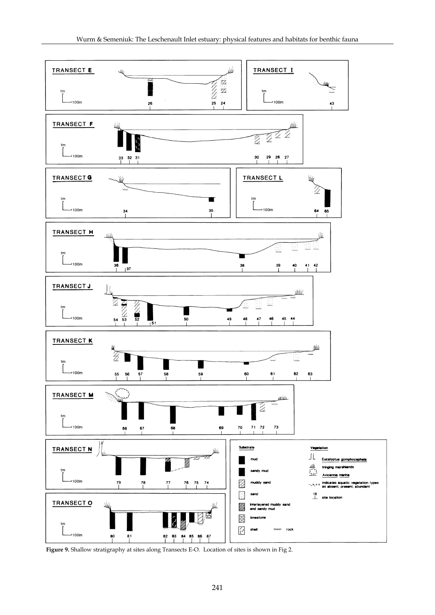

**Figure 9.** Shallow stratigraphy at sites along Transects E-O. Location of sites is shown in Fig 2.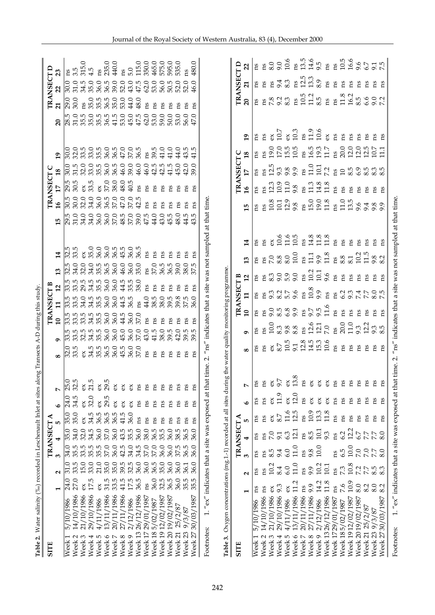| Table 2. Water salinity (%o) recorded in Leschenault Inlet at sites along Transects A-D during this study. |                                   |                                         |                        |                    |                |                  |                                         |                                                            |                   |                                             |                         |                                             |                                      |                                                    |                                                   |                         |              |                                                   |                    |                  |
|------------------------------------------------------------------------------------------------------------|-----------------------------------|-----------------------------------------|------------------------|--------------------|----------------|------------------|-----------------------------------------|------------------------------------------------------------|-------------------|---------------------------------------------|-------------------------|---------------------------------------------|--------------------------------------|----------------------------------------------------|---------------------------------------------------|-------------------------|--------------|---------------------------------------------------|--------------------|------------------|
| <b>SITE</b>                                                                                                |                                   |                                         | TRANSECT               |                    |                |                  |                                         |                                                            | <b>TRANSECT B</b> |                                             |                         |                                             |                                      |                                                    | <b>TRANSECT C</b>                                 |                         |              |                                                   | <b>TRANSECT D</b>  |                  |
|                                                                                                            | N                                 | 3                                       |                        |                    | $\bullet$      | Z                | $\bullet$<br>$\infty$                   | $\overline{10}$                                            | $\mathbf{1}$      | $\mathbf{r}$                                | $\mathbf{r}$            | 14                                          | $\frac{9}{2}$<br>15                  |                                                    | $\overline{18}$                                   | 19                      | $\mathbf{S}$ | $\overline{21}$                                   |                    | 23               |
| 5/10/1986<br>$\overline{\phantom{0}}$<br>$\overline{\text{West}}$                                          | 24.0                              | $\frac{34.0}{5}$<br>$\overline{31.0}$   | $\frac{35.0}{ }$       | $\frac{35.0}{5}$   | 24.0           | $\frac{25.0}{5}$ | $\frac{32.0}{ }$                        | ln n n n<br>ខេត្ត ខេត្ត<br>ត្រ<br> 5<br> 3 3 3 4<br> 3 3 4 | z                 |                                             | $\frac{32.5}{ }$        | $\frac{32.5}{33.5}$                         | $\frac{30.5}{ }$<br>$\frac{29.5}{2}$ | $\frac{29.5}{30.5}$                                | $\overline{30.0}$                                 | $\frac{0.05}{\pi}$      |              | $\overline{56}$<br>$\frac{28.5}{ }$               | $\frac{0.05}{\pi}$ | ns               |
| 14/10/1986<br>$\sim$<br>Week                                                                               | 27.0                              | 5<br>55 35<br>55 35<br>$33.5$<br>$15.0$ | 34.0                   | 35.0               | 34.5           | rù<br>32.        | rù<br>33.                               |                                                            |                   |                                             | 34.0                    |                                             | 30.0<br>31.0                         |                                                    | $31.5$<br>$32.0$                                  | 32.0                    |              | 30.0<br>31.0                                      | 31.0               | $3.\overline{5}$ |
| 21/10/1986<br>3<br>Week                                                                                    | ΘX                                |                                         | 32.0                   | ΘX                 | ఠ              | ěX               | ěX                                      |                                                            |                   |                                             | 32.0                    | $\delta$                                    | 32.0<br>34.0                         | ěX                                                 |                                                   | 33.5                    |              |                                                   | 34.5               | 315.             |
| 29/10/1986<br>4<br>Week                                                                                    | 17.5                              | 33.0                                    | 34.5                   | 34.5               | 32.0           | 21.5             | 34.5                                    |                                                            | 34.5              |                                             | 34.0                    | 35.0                                        | 34.0                                 | 33.5<br>34.0                                       | 33.0                                              | 33.0                    |              |                                                   | 35.0               | 4.5              |
| 4/11/1986<br>LO <sub>1</sub><br>Week                                                                       | ěX                                | $35.5$<br>$37.0$<br>21.0                | 36.0                   | 36.5<br>36.5<br>36 | $\alpha$       | ex               | $35.5$<br>$36.0$<br>$36.0$              | 35.5<br>36.0<br>35.5<br>36.0                               | 35.5<br>36.0      |                                             | 35.5<br>36.5            | 36.0                                        | 36.0<br>36.0                         | ex<br>37.0                                         | $35.0$<br>$36.0$<br>$36.5$                        | 35.0<br>36.0<br>36.5    |              | ns 0<br>35.0<br>36.0<br>35.0<br>55555555555555555 | 36.0               | ns               |
| 13/11/1986<br>$\mathbf 2$<br>Week                                                                          |                                   | 35.0                                    | 37.0                   |                    | 29.5           | 29.5             |                                         |                                                            |                   |                                             |                         |                                             | 36.5<br>36.0                         |                                                    |                                                   |                         |              |                                                   | 36.5               | 235.0            |
| 20/11/1986<br>$\overline{ }$<br>Week                                                                       | $31.5$<br>$33.4$ $15.5$<br>$36.5$ | 36.0<br>35.0                            | 36.0                   |                    | š              | ΘX               |                                         | 36.0<br>36.0                                               | 36.0              | 36.0                                        | 36.0                    | $36.5$<br>$36.5$<br>$36.0$                  | 37.0<br>37.0                         | 38.0                                               |                                                   |                         |              |                                                   | 39.0               | 440.0            |
| 27/11/1986<br>$\infty$<br>Week                                                                             |                                   | 42.5<br>$39.5$<br>$32.5$<br>$36.0$      | 43.                    | 41.5<br>rÙ.        | ఠ              | ěX               | 45.5                                    | 44.5<br>45.0                                               | 44.5              | $4.5$<br>$3.8$<br>$3.8$                     | 46.0                    |                                             | $47.0\,$<br>48.5                     | 48.0                                               | 46.0<br>39.0                                      | $47.0$<br>37.0          |              | 53.0<br>$53.0$<br>45.0                            | 52.0               | ns               |
| 2/12/1986<br>$\mathcal{O}$<br>Week                                                                         |                                   | 34.0                                    | 35.5                   | 36.0               | ěX             | ΘX               | 36.0                                    | 36.0<br>37.0<br>36.0                                       | 36.5              |                                             | 36.0                    |                                             | 37.0<br>37.0                         | 40.5                                               |                                                   |                         |              | 44.0                                              | 43.0               | 5.0              |
| 26/12/1986<br>Week <sub>13</sub>                                                                           |                                   | 34.                                     | 36.0<br>rù             | ns                 | ns             | ns               |                                         | 37.0                                                       | ns                |                                             | 35.0                    | 36.5                                        | 42.<br>39.0                          | ns<br>r.                                           | 46.0                                              | 36.5                    |              | 48.0<br>47.5                                      | 47.5               | 115.0            |
| 29/01/1987<br>Week 17                                                                                      | Ωů                                | 37.<br>36.0                             | 38.0<br>$\ddot{\circ}$ | ns                 | ns             | cu               | ns                                      | <b>ns</b><br>43.0                                          | 44.0              | ns                                          | ns                      | ns                                          | ns<br>47.5                           | ns                                                 | 46.0                                              | ns                      |              | ns<br>62.0                                        | 62.0               | 350.0            |
| 5/02/1987<br>Week <sub>18</sub>                                                                            | 36.0<br>32.5                      | 37.0<br>36.5                            | 36.5<br>35.5           | ns                 | ns             | ns               | <b>ns</b>                               | 2n<br>41.5                                                 | 38.5              | εs                                          | $37.0\,$                | ns                                          | ns<br>44.0                           | <b>ns</b>                                          |                                                   | 39.5                    |              | ns<br>53.0                                        | 53.0               | 465.0            |
| Week 19 12/02/1987                                                                                         |                                   | 36.0<br>35.0                            |                        | <b>ns</b>          | ns             | ns               | ns                                      | ns<br>38.0                                                 | 38.0              | <b>ns</b>                                   | 36.5                    | ns                                          | <b>ns</b><br>43.0                    | ns                                                 |                                                   | 41.0                    |              | ns<br>59.0                                        | 56.0               | 575.0            |
| Week 20 19/02/1987                                                                                         | 36055<br>36555<br>3655            | 36.0<br>36.0                            | 36.0                   | ns                 | $\mathbf{n}$ s | ns               | Ωs                                      | ns<br>$39.5$<br>42.0                                       | 39.5              | Su                                          | 36.5                    | ςū                                          | ns<br>45.5                           | ns                                                 | $42.5$<br>$42.5$<br>$41.5$                        | 41.0                    |              | ns<br>50.0                                        | 50.5               | 595.0            |
| 187<br>25/2/<br>Week 21                                                                                    |                                   | 37.5<br>36.0                            | 38.5                   | <b>ns</b>          | ns             | cq               | ns                                      | ns                                                         | 39.8              | ns                                          | 39.0                    | Ωs                                          | ns<br>48.0                           | ns                                                 | 45.0                                              | 44.0                    |              | ns<br>53.0                                        | 52.0               | 535.0            |
| 9/3/87<br>Week <sub>23</sub>                                                                               |                                   | 36.<br>36.1                             | 36.5<br>r.             | ns                 | ns             | ns               | <b>ns</b>                               | <b>ns</b><br>39.5                                          | 37.5              |                                             | 38.0                    | ns                                          | 44.5                                 | ns                                                 | 42.0                                              |                         |              | ns<br>56.0                                        | 52.0               | ns               |
|                                                                                                            |                                   |                                         |                        |                    |                |                  |                                         |                                                            |                   |                                             |                         |                                             |                                      |                                                    |                                                   | $43.5$<br>$41.5$        |              |                                                   |                    |                  |
| 30/03/1987<br>27<br>Week                                                                                   |                                   | 36.0<br>36.0                            | 36.0                   | ns                 | ns             | ns               | ns                                      | cq                                                         | 36.0              | Ωű                                          | 37.5                    | ns                                          | 43.5                                 | ns                                                 | 39.0                                              |                         |              | ns<br>$47.0$                                      | 46.0               | 480.0            |
| Oxygen concentrations (mg.1.-1) recorded at all<br>Table 3.                                                |                                   |                                         |                        |                    |                | sites during     | the water quality monitoring programme. |                                                            |                   |                                             |                         |                                             |                                      |                                                    |                                                   |                         |              |                                                   |                    |                  |
| <b>SITE</b>                                                                                                |                                   |                                         | TRANSECT               |                    |                |                  |                                         |                                                            |                   | <b>TRANSECT B</b>                           |                         |                                             |                                      |                                                    | TRANSECT C                                        |                         |              |                                                   | <b>TRANSECT D</b>  |                  |
|                                                                                                            | $\sim$                            | 3                                       |                        | LO.                | $\bullet$      | $\overline{ }$   | $\infty$                                | ه                                                          | $\mathbf{u}$      |                                             | 13<br>12                | 14                                          | 15                                   | $\mathfrak{g}$                                     |                                                   | $\overline{18}$         | 19           | $\overline{20}$                                   | ដ                  | 22               |
| 5/10/1986<br>Week                                                                                          | ns<br>ns                          | ns                                      | ns                     | ns                 | Ωű             |                  | ns                                      | ns                                                         | ns                | ns                                          | es<br>ns<br>ns          | an                                          | Su                                   | gu                                                 | ns                                                | ns                      | Ωs           | ns                                                | an                 | ns               |
| 14/10/1986<br>Week <sub>2</sub>                                                                            | ns<br>ns                          | ns                                      |                        | ns                 | <b>ns</b>      | <b>ns</b>        | ns                                      | ns                                                         | ns                | ns                                          |                         | ns                                          | ns                                   | ns                                                 | ns                                                | ns                      | ns           | ΩS                                                | ns                 | ns               |
| 21/10/1986<br>$\infty$<br>Week                                                                             |                                   | 8.5<br>10.2                             | 7.0                    | ΘX                 | ěX             | ěX               | $\delta$                                | 10.0                                                       |                   |                                             |                         | ă                                           | 10.8                                 | 12.3                                               |                                                   | 19.0                    | $\delta$     |                                                   |                    | 8.0              |
| 29/10/1986<br>$\overline{\phantom{a}}$<br>Week                                                             | 93                                | 9.4<br>8.4                              | 9.1                    | 8.7                | 11.9           | 9.7              | $8.7$ $10.5$                            |                                                            |                   |                                             | 7.800                   | $10.6$<br>11.6                              |                                      |                                                    |                                                   | 17.0                    | 10.7         | 7.800                                             | 23.3               | 9.0              |
| 4/11/1986<br>Week 5                                                                                        | ěX                                | 6.0<br>6.0                              | 6.3                    | $11.6$<br>$12.5$   | š              | ΘX               |                                         | 8.388                                                      | 0.5899            | 0.2176<br>0.2176                            | 18.00000                |                                             | $\frac{10.1}{12.9}$                  | $\begin{array}{c} 10.9 \\ 11.0 \\ 9.8 \end{array}$ | $12.5$<br>9.3 8.9                                 | 15.5                    | $\alpha$     |                                                   |                    | 10.6             |
| 13/11/1986<br>Week 6                                                                                       | 11.2                              | $11.0\,$<br>11.0                        | 12.1                   |                    | 12.0           | 13.8             | 9.1                                     |                                                            |                   |                                             | 10.0                    | 10.5                                        |                                      |                                                    |                                                   | 10.5                    | 10.3         | ns                                                | $\mathbf{m}$       | ns               |
| 20/11/1986<br>$\triangleright$<br>Week                                                                     | ns<br>ns                          | ns                                      | ns                     | ns                 | ns             | ns               | 12.8                                    | $12.6$<br>$12.1$                                           | $2.5$<br>$9.5$    | $\begin{array}{c} 10.8 \\ 10.8 \end{array}$ | $\frac{10.2}{10}$       | $\begin{array}{c} 14.8 \\ 14.8 \end{array}$ | $15.0$<br>$19.0$                     | $\mathbf{m}$                                       | $\begin{array}{c} 1.0 \\ 1.0 \\ 10.1 \end{array}$ | $\frac{16.5}{16.5}$     | ns           | 10.5                                              | $12.5$<br>$13.3$   | $13.5$<br>$14.6$ |
| 27/11/1986<br>Week 8                                                                                       | 9.9                               | 9.8<br>9.9                              | 8.5                    | $10.9\,$           | ఠ              | š                | 14.5                                    |                                                            |                   |                                             | $211$<br>$39$           |                                             |                                      | 11.3                                               |                                                   |                         | 11.9         | 11.2                                              |                    |                  |
| 2/12/1986<br>Week 9                                                                                        | 14.2                              | $10.0\,$<br>10.2                        | 10.1                   | 13.3               | ఠ              | š                | 15.3                                    |                                                            |                   | 9.9                                         | 10.1                    | $11.8\,$                                    |                                      | 14.8                                               |                                                   | 19.3                    | 10.6         | 8.5                                               | 8.9                | 9.5              |
| Week 1326/12/1986                                                                                          | 11.8                              | 10.1                                    | 9.3                    | 11.8               | ఠ              | ěX               | 10.6                                    | $7.0\,$                                                    | 11.6              | $\mathbf{n}$                                | 11.8<br>9.6             | 11.8                                        | 11.8                                 | 11.8                                               | 7.2                                               | 11.7                    | ěX           | ns                                                | ns                 | ns               |
| Week 1729/01/1987                                                                                          | ns<br><b>ns</b>                   | Su                                      | ns                     | ns                 | Ωů             | <b>SU</b>        | ns                                      | ns                                                         | ns                | ns                                          | ns<br>ns                | ns                                          | ns                                   | ns                                                 | ns                                                | ns                      | ns           | ns                                                | ns                 | ns<br>10.5       |
| Week 185/02/1987                                                                                           | 7.6                               | $\ddot{6}$<br>73                        | 6.2                    | ns                 | ns             | εq               | ns                                      | 20.0                                                       | ns                | 6.2                                         | $\frac{8.8}{8.1}$<br>ns | ns                                          | 11.0                                 | ns                                                 | $\overline{10}$                                   |                         | ns           | 11.8                                              | ns                 |                  |
| Week 1912/02/1987                                                                                          | 10.9                              | $10.0\,$<br>10.8                        | 12.2                   | ns                 | ns             | cq               | ns                                      | 11.0                                                       | ns                |                                             | ns                      | ns                                          | 13.5                                 | ns                                                 |                                                   |                         | ns           |                                                   | ns                 |                  |
| Week 2019/02/1987                                                                                          | 7.7<br>8.0                        | 7.0                                     | 6.7                    | ns                 | ns             | ΩS               | ns                                      | 9.3                                                        | <b>ns</b>         | $0.47$<br>$7.7$                             | 10.2<br>ns              | ns                                          | 9.6                                  | Ωs                                                 | 8.990                                             | 20.0<br>20.0<br>20.12.7 | ns           | $\frac{16.2}{8.5}$                                | ns                 | $16.6$<br>$6.7$  |
| Week 21 25/2/87                                                                                            | 8.2                               | $\overline{7.0}$                        | 7.7                    | ΩS                 | Ωs             | 2u               | <b>ns</b>                               | 12.2                                                       | ns                |                                             | 11.5<br>ns              | Ωs                                          | 9.4                                  | ns                                                 |                                                   |                         | ns           | 6.6                                               | Ωs                 |                  |
| 78/87<br>Week 23 $9/$                                                                                      | 8.3<br>8.0                        | 7.7                                     | $7.7$<br>8.0           | Ωű                 | ΩS             | Ωű               | ns                                      | 9.3<br>8.5                                                 | <b>ns</b>         | $\frac{6}{7}$ .5                            | 9.8<br>ns               | ns                                          | 9.8                                  | <b>ns</b>                                          | 8.3                                               |                         | εs           | 9.2                                               | Su                 | $9.1$<br>$7.5$   |
| Week 2730/03/1987                                                                                          | $\sim$<br>$\infty$                | 8.0                                     |                        | ns                 | ns             | ns               | ns                                      |                                                            | ns                |                                             | ns                      | ns                                          |                                      | ns                                                 |                                                   | $\overline{11}$         | εq           |                                                   | ns                 |                  |

Footnotes: 1. "ex" indicates that a site was exposed at that time. 2. "ns" indicates that a site was not sampled at that time.

Footnotes:

1. "ex" indicates that a site was exposed at that time. 2. "ns" indicates that a site was not sampled at that time.

242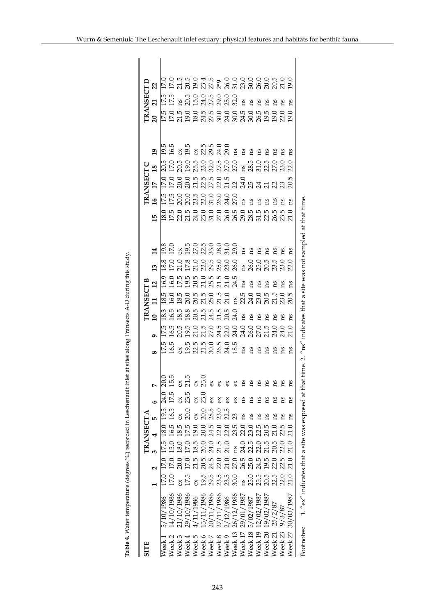|                    |            |                               |                                                                     |      | TRANSECT A        |                        |                                       |    |                         |                                                                  | <b>TRANSECT B</b>                                                    |                                                       |                 |                                                                                                                          | <b>TRANSECT</b>                                                 |                 |                                                         | <b>TRANSECT1</b>       |    |  |
|--------------------|------------|-------------------------------|---------------------------------------------------------------------|------|-------------------|------------------------|---------------------------------------|----|-------------------------|------------------------------------------------------------------|----------------------------------------------------------------------|-------------------------------------------------------|-----------------|--------------------------------------------------------------------------------------------------------------------------|-----------------------------------------------------------------|-----------------|---------------------------------------------------------|------------------------|----|--|
|                    |            |                               |                                                                     |      | 4                 | IJ,                    | $\overline{a}$                        |    | $\overline{\mathbf{c}}$ | $\Xi$                                                            | $\overline{a}$                                                       | 13                                                    | $\overline{14}$ | $\tilde{a}$<br>15                                                                                                        | 17                                                              | $\overline{18}$ | 19                                                      | 21<br>$\overline{a}$   | 22 |  |
| Week 1             | 5/10/1986  | $\overline{17.0}$             | $\overline{\Xi}$                                                    | 17.5 | $\overline{18.0}$ | $\frac{19.5}{ }$       | 24.0                                  |    |                         |                                                                  |                                                                      | $\overline{18.8}$                                     |                 |                                                                                                                          |                                                                 |                 |                                                         |                        |    |  |
| Week 2             | 14/10/1986 | 17.0                          | 17.0                                                                | 15.0 | 16.5              | 16.5                   | 17.5                                  |    |                         |                                                                  |                                                                      |                                                       |                 |                                                                                                                          |                                                                 |                 |                                                         |                        |    |  |
| Week <sub>3</sub>  | 21/10/1986 | š                             | 20.0<br>17.0                                                        | 18.0 | 18.5              | ă                      | 0.05<br>2.15<br>2.15<br>2.3.0<br>2.15 |    |                         | 3<br>18 19 19 19 19 19 19 19 19<br>18 19 19 10 11 11 11 11 11 11 | ១.០.១.១.១.១.១.១.១<br> ម៉ង់ ២.១.១.១.១.១.១.១<br> ម៉ង់ ២.១.១.១.១.១.១.១. |                                                       |                 |                                                                                                                          |                                                                 |                 | <br> ධජ ඉට ඉරි වර්ජ වර්<br> ධජ ඉට ඉරි වර්ජ වර්ජ සියි සි | ls.<br>ឯង ដឹងដែលមាន ដឹ |    |  |
| Week 4             | 29/10/1986 | 17.5                          |                                                                     | 17.0 | 17.5              | 20.0                   | ex<br>23.5                            |    |                         |                                                                  |                                                                      |                                                       |                 |                                                                                                                          |                                                                 |                 |                                                         |                        |    |  |
| Week <sub>5</sub>  | /11/1986   | $\alpha$                      |                                                                     | 18.5 |                   | š                      |                                       |    |                         |                                                                  |                                                                      |                                                       |                 |                                                                                                                          |                                                                 |                 |                                                         |                        |    |  |
| Week 6             | 13/11/1986 |                               |                                                                     | 20.0 |                   |                        | ex<br>23.0                            |    |                         |                                                                  |                                                                      |                                                       |                 |                                                                                                                          |                                                                 |                 |                                                         |                        |    |  |
| Week 7             | 20/11/1986 | 5<br>9 8 8 8 9<br>9 8 8 9 9   |                                                                     |      |                   | o n o n<br>ឧន្តរ ដូ ដូ | š                                     |    |                         |                                                                  |                                                                      |                                                       |                 |                                                                                                                          |                                                                 |                 |                                                         |                        |    |  |
| Week 8             | 27/11/1986 |                               |                                                                     |      |                   |                        | $\delta$ $\delta$<br>ΘX               |    |                         |                                                                  |                                                                      |                                                       |                 |                                                                                                                          |                                                                 |                 |                                                         |                        |    |  |
| Week 9             | 2/12/1986  |                               |                                                                     |      |                   |                        | ex<br>$\approx$                       |    |                         |                                                                  |                                                                      |                                                       |                 |                                                                                                                          |                                                                 |                 |                                                         |                        |    |  |
| Week <sub>13</sub> | 26/12/1986 |                               |                                                                     |      |                   |                        | ex                                    |    |                         |                                                                  |                                                                      |                                                       |                 |                                                                                                                          |                                                                 |                 |                                                         |                        |    |  |
| Week 17            | 29/01/1987 |                               |                                                                     |      |                   | ns                     | ns                                    |    | ΩŚ                      |                                                                  | ns                                                                   |                                                       |                 |                                                                                                                          |                                                                 |                 |                                                         |                        |    |  |
| Week <sub>18</sub> | 5/02/1987  |                               |                                                                     |      |                   | ns                     | Su                                    |    | ឌី ឌី                   |                                                                  | ns                                                                   |                                                       |                 | ns                                                                                                                       |                                                                 |                 |                                                         | ns                     |    |  |
| Week <sub>19</sub> | 12/02/1987 |                               |                                                                     |      |                   | ns                     | ns                                    |    |                         |                                                                  | ns                                                                   |                                                       |                 | ns                                                                                                                       |                                                                 |                 |                                                         | ns                     |    |  |
| Week 20            | 19/02/1987 |                               |                                                                     |      |                   | ns                     | <b>ns</b>                             |    | ns                      |                                                                  | ns                                                                   |                                                       |                 | ns                                                                                                                       |                                                                 |                 |                                                         | ns                     |    |  |
| Week 21            | 25/2/87    | 25.05.05.05<br>25.05.05.05.17 | 5<br>5 8 3 3 5 5 6 6 7 8 9 9 9 9 9 9<br>5 8 3 8 9 9 9 9 9 9 9 9 9 9 |      | 21.0              | <b>ns</b>              | ns                                    |    | ns                      |                                                                  | ns                                                                   | oo a oo noocoo oo n no<br>h n h n n n n n n n n n n n | Ωq              | ns<br> 0 5 6 5 6 6 6 6 6 6 6 6 6 7 8 7 9 6 7<br> 2 5 6 7 8 7 8 7 8 7 8 7 8 7 8 7 8 7                                     | 0.0.0.0.10.10.0.10.10<br> ឯឯសន្តដ៏ស្តីដ៏ស្តីដ៏ស្តីដឹង ស្តី ស្តី |                 |                                                         | ns                     |    |  |
| Week <sub>23</sub> | 9/3/87     |                               |                                                                     | 22.0 | $22.5$<br>$21.0$  | ns                     | ns                                    | es | ns                      |                                                                  | Ωū                                                                   |                                                       | ns              | ns                                                                                                                       |                                                                 |                 | £                                                       | ns                     |    |  |
| Week 27            | 30/03/1987 |                               |                                                                     | 21.0 |                   | Su                     | ns                                    | C. | ns                      |                                                                  | ns                                                                   |                                                       | ns              | ns                                                                                                                       |                                                                 |                 | ΩS                                                      |                        |    |  |
| Footnotes:         |            |                               |                                                                     |      |                   |                        |                                       |    |                         |                                                                  |                                                                      |                                                       |                 | 1. "ex" indicates that a site was exposed at that time. 2. " $\ln$ " indicates that a site was not sampled at that time. |                                                                 |                 |                                                         |                        |    |  |

Table 4. Water temperature (degrees °C) recorded in Leschenault Inlet at sites along Transects A-D during this study. **Table 4.** Water temperature (degrees ºC) recorded in Leschenault Inlet at sites along Transects A-D during this study.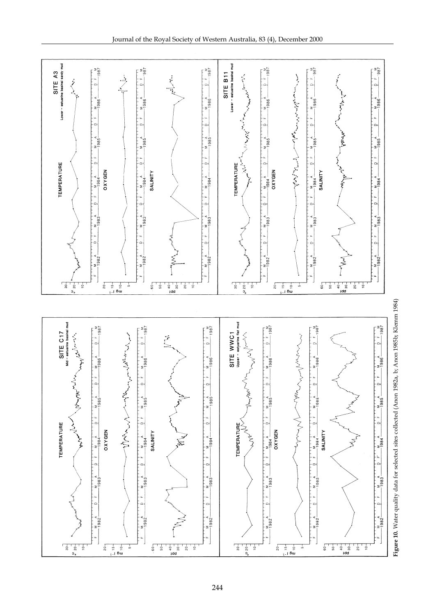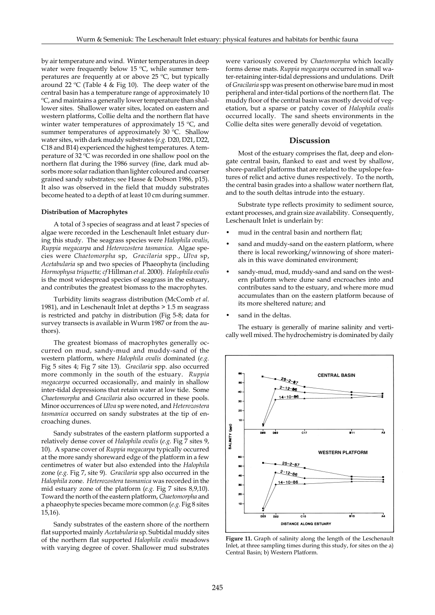by air temperature and wind. Winter temperatures in deep water were frequently below 15 ºC, while summer temperatures are frequently at or above 25 ºC, but typically around 22 ºC (Table 4 & Fig 10). The deep water of the central basin has a temperature range of approximately 10 ºC, and maintains a generally lower temperature than shallower sites. Shallower water sites, located on eastern and western platforms, Collie delta and the northern flat have winter water temperatures of approximately 15 ºC, and summer temperatures of approximately 30 ºC. Shallow water sites, with dark muddy substrates (*e.g.* D20, D21, D22, C18 and B14) experienced the highest temperatures. A temperature of 32 ºC was recorded in one shallow pool on the northern flat during the 1986 survey (fine, dark mud absorbs more solar radiation than lighter coloured and coarser grained sandy substrates; see Hasse & Dobson 1986, p15). It also was observed in the field that muddy substrates become heated to a depth of at least 10 cm during summer.

#### **Distribution of Macrophytes**

A total of 3 species of seagrass and at least 7 species of algae were recorded in the Leschenault Inlet estuary during this study. The seagrass species were *Halophila ovalis*, *Ruppia megacarpa* and *Heterozostera tasmanica.* Algae species were *Chaetomorpha* sp, *Gracilaria* spp., *Ulva* sp, *Acetabularia* sp and two species of Phaeophyta (including *Hormophysa triquetta; cf* Hillman *et al.* 2000). *Halophila ovalis* is the most widespread species of seagrass in the estuary, and contributes the greatest biomass to the macrophytes.

Turbidity limits seagrass distribution (McComb *et al*. 1981), and in Leschenault Inlet at depths > 1.5 m seagrass is restricted and patchy in distribution (Fig 5-8; data for survey transects is available in Wurm 1987 or from the authors).

The greatest biomass of macrophytes generally occurred on mud, sandy-mud and muddy-sand of the western platform, where *Halophila ovalis* dominated (*e.g.* Fig 5 sites 4; Fig 7 site 13). *Gracilaria* spp. also occurred more commonly in the south of the estuary. *Ruppia megacarpa* occurred occasionally, and mainly in shallow inter-tidal depressions that retain water at low tide. Some *Chaetomorpha* and *Gracilaria* also occurred in these pools. Minor occurrences of *Ulva* sp were noted, and *Heterozostera tasmanica* occurred on sandy substrates at the tip of encroaching dunes.

Sandy substrates of the eastern platform supported a relatively dense cover of *Halophila ovalis* (*e.g.* Fig 7 sites 9, 10). A sparse cover of *Ruppia megacarpa* typically occurred at the more sandy shoreward edge of the platform in a few centimetres of water but also extended into the *Halophila* zone (*e.g.* Fig 7, site 9). *Gracilaria* spp also occurred in the *Halophila* zone. *Heterozostera tasmanica* was recorded in the mid estuary zone of the platform (*e.g.* Fig 7 sites 8,9,10). Toward the north of the eastern platform, *Chaetomorpha* and a phaeophyte species became more common (*e.g.* Fig 8 sites 15,16).

Sandy substrates of the eastern shore of the northern flat supported mainly *Acetabularia* sp. Subtidal muddy sites of the northern flat supported *Halophila ovalis* meadows with varying degree of cover. Shallower mud substrates were variously covered by *Chaetomorpha* which locally forms dense mats. *Ruppia megacarpa* occurred in small water-retaining inter-tidal depressions and undulations. Drift of *Gracilaria* spp was present on otherwise bare mud in most peripheral and inter-tidal portions of the northern flat. The muddy floor of the central basin was mostly devoid of vegetation, but a sparse or patchy cover of *Halophila ovalis* occurred locally. The sand sheets environments in the Collie delta sites were generally devoid of vegetation.

# **Discussion**

Most of the estuary comprises the flat, deep and elongate central basin, flanked to east and west by shallow, shore-parallel platforms that are related to the upslope features of relict and active dunes respectively. To the north, the central basin grades into a shallow water northern flat, and to the south deltas intrude into the estuary.

Substrate type reflects proximity to sediment source, extant processes, and grain size availability. Consequently, Leschenault Inlet is underlain by:

- mud in the central basin and northern flat;
- sand and muddy-sand on the eastern platform, where there is local reworking/winnowing of shore materials in this wave dominated environment;
- sandy-mud, mud, muddy-sand and sand on the western platform where dune sand encroaches into and contributes sand to the estuary, and where more mud accumulates than on the eastern platform because of its more sheltered nature; and
- sand in the deltas.

The estuary is generally of marine salinity and vertically well mixed. The hydrochemistry is dominated by daily



**Figure 11.** Graph of salinity along the length of the Leschenault Inlet, at three sampling times during this study, for sites on the a) Central Basin; b) Western Platform.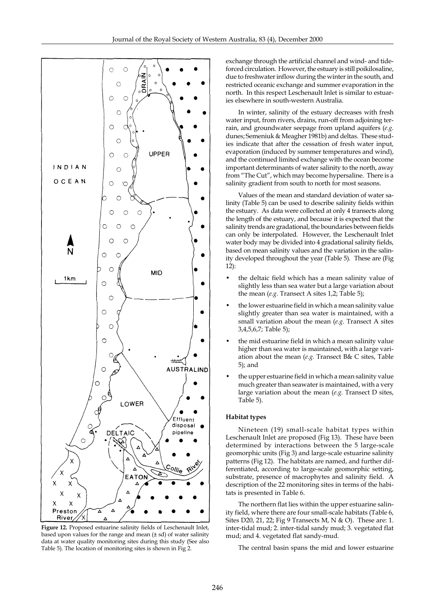

**Figure 12.** Proposed estuarine salinity fields of Leschenault Inlet, based upon values for the range and mean (± sd) of water salinity data at water quality monitoring sites during this study (See also Table 5). The location of monitoring sites is shown in Fig 2.

exchange through the artificial channel and wind- and tideforced circulation. However, the estuary is still poikilosaline, due to freshwater inflow during the winter in the south, and restricted oceanic exchange and summer evaporation in the north. In this respect Leschenault Inlet is similar to estuaries elsewhere in south-western Australia.

In winter, salinity of the estuary decreases with fresh water input, from rivers, drains, run-off from adjoining terrain, and groundwater seepage from upland aquifers (*e.g.* dunes; Semeniuk & Meagher 1981b) and deltas. These studies indicate that after the cessation of fresh water input, evaporation (induced by summer temperatures and wind), and the continued limited exchange with the ocean become important determinants of water salinity to the north, away from "The Cut", which may become hypersaline. There is a salinity gradient from south to north for most seasons.

Values of the mean and standard deviation of water salinity (Table 5) can be used to describe salinity fields within the estuary. As data were collected at only 4 transects along the length of the estuary, and because it is expected that the salinity trends are gradational, the boundaries between fields can only be interpolated. However, the Leschenault Inlet water body may be divided into 4 gradational salinity fields, based on mean salinity values and the variation in the salinity developed throughout the year (Table 5). These are (Fig 12):

- the deltaic field which has a mean salinity value of slightly less than sea water but a large variation about the mean (*e.g.* Transect A sites 1,2; Table 5);
- the lower estuarine field in which a mean salinity value slightly greater than sea water is maintained, with a small variation about the mean (*e.g.* Transect A sites 3,4,5,6,7; Table 5);
- the mid estuarine field in which a mean salinity value higher than sea water is maintained, with a large variation about the mean (*e.g.* Transect B& C sites, Table 5); and
- the upper estuarine field in which a mean salinity value much greater than seawater is maintained, with a very large variation about the mean (*e.g.* Transect D sites, Table 5).

# **Habitat types**

Nineteen (19) small-scale habitat types within Leschenault Inlet are proposed (Fig 13). These have been determined by interactions between the 5 large-scale geomorphic units (Fig 3) and large-scale estuarine salinity patterns (Fig 12). The habitats are named, and further differentiated, according to large-scale geomorphic setting, substrate, presence of macrophytes and salinity field. A description of the 22 monitoring sites in terms of the habitats is presented in Table 6.

The northern flat lies within the upper estuarine salinity field, where there are four small-scale habitats (Table 6, Sites D20, 21, 22; Fig 9 Transects M, N & O). These are: 1. inter-tidal mud; 2. inter-tidal sandy mud; 3. vegetated flat mud; and 4. vegetated flat sandy-mud.

The central basin spans the mid and lower estuarine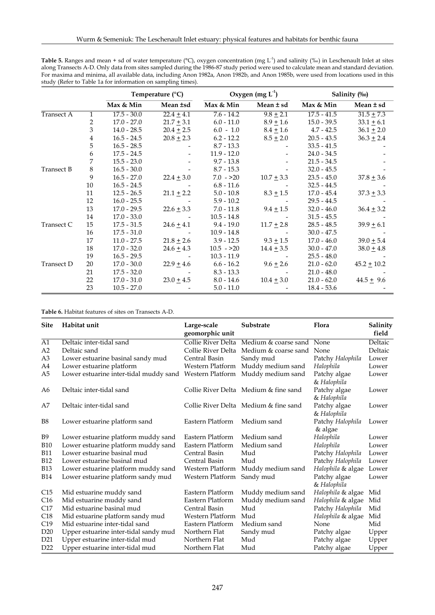| <b>Table 5.</b> Ranges and mean + sd of water temperature ( $^{\circ}$ C), oxygen concentration (mg L <sup>-1</sup> ) and salinity (‰) in Leschenault Inlet at sites |
|----------------------------------------------------------------------------------------------------------------------------------------------------------------------|
| along Transects A-D. Only data from sites sampled during the 1986-87 study period were used to calculate mean and standard deviation.                                |
| For maxima and minima, all available data, including Anon 1982a, Anon 1982b, and Anon 1985b, were used from locations used in this                                   |
| study (Refer to Table 1a for information on sampling times).                                                                                                         |

|            |              |               | Temperature $(^{\circ}C)$ |               | Oxygen (mg $L^1$ ) |               | Salinity (%)    |
|------------|--------------|---------------|---------------------------|---------------|--------------------|---------------|-----------------|
|            |              | Max & Min     | Mean ±sd                  | Max & Min     | Mean ± sd          | Max & Min     | Mean ± sd       |
| Transect A | $\mathbf{1}$ | $17.5 - 30.0$ | $22.4 \pm 4.1$            | $7.6 - 14.2$  | $9.8 \pm 2.1$      | $17.5 - 41.5$ | $31.5 \pm 7.3$  |
|            | 2            | $17.0 - 27.0$ | $21.7 \pm 3.1$            | $6.0 - 11.0$  | $8.9 \pm 1.6$      | $15.0 - 39.5$ | $33.1 \pm 6.1$  |
|            | 3            | $14.0 - 28.5$ | $20.4 + 2.5$              | $6.0 - 1.0$   | $8.4 \pm 1.6$      | $4.7 - 42.5$  | $36.1 + 2.0$    |
|            | 4            | $16.5 - 24.5$ | $20.8 + 2.3$              | $6.2 - 12.2$  | $8.5 + 2.0$        | $20.5 - 43.5$ | $36.3 \pm 2.4$  |
|            | 5            | $16.5 - 28.5$ |                           | $8.7 - 13.3$  |                    | $33.5 - 41.5$ |                 |
|            | 6            | $17.5 - 24.5$ |                           | $11.9 - 12.0$ |                    | $24.0 - 34.5$ |                 |
|            | 7            | $15.5 - 23.0$ |                           | $9.7 - 13.8$  |                    | $21.5 - 34.5$ |                 |
| Transect B | $\,8\,$      | $16.5 - 30.0$ |                           | $8.7 - 15.3$  |                    | $32.0 - 45.5$ |                 |
|            | 9            | $16.5 - 27.0$ | $22.4 \pm 3.0$            | $7.0 - >20$   | $10.7 \pm 3.3$     | $23.5 - 45.0$ | $37.8 \pm 3.6$  |
|            | 10           | $16.5 - 24.5$ |                           | $6.8 - 11.6$  |                    | $32.5 - 44.5$ |                 |
|            | 11           | $12.5 - 26.5$ | $21.1 \pm 2.2$            | $5.0 - 10.8$  | $8.3 \pm 1.5$      | $17.0 - 45.4$ | $37.3 \pm 3.3$  |
|            | 12           | $16.0 - 25.5$ |                           | $5.9 - 10.2$  |                    | $29.5 - 44.5$ |                 |
|            | 13           | $17.0 - 29.5$ | $22.6 \pm 3.3$            | 7.0 - 11.8    | $9.4 \pm 1.5$      | $32.0 - 46.0$ | $36.4 \pm 3.2$  |
|            | 14           | $17.0 - 33.0$ |                           | $10.5 - 14.8$ |                    | $31.5 - 45.5$ |                 |
| Transect C | 15           | $17.5 - 31.5$ | $24.6 \pm 4.1$            | $9.4 - 19.0$  | $11.7 \pm 2.8$     | $28.5 - 48.5$ | $39.9 \pm 6.1$  |
|            | 16           | $17.5 - 31.0$ |                           | $10.9 - 14.8$ |                    | $30.0 - 47.5$ |                 |
|            | 17           | $11.0 - 27.5$ | $21.8 \pm 2.6$            | $3.9 - 12.5$  | $9.3 + 1.5$        | $17.0 - 46.0$ | $39.0 \pm 5.4$  |
|            | 18           | $17.0 - 32.0$ | $24.6 + 4.3$              | $10.5 - >20$  | $14.4 + 3.5$       | $30.0 - 47.0$ | $38.0 \pm 4.8$  |
|            | 19           | $16.5 - 29.5$ |                           | $10.3 - 11.9$ |                    | $25.5 - 48.0$ |                 |
| Transect D | 20           | $17.0 - 30.0$ | $22.9 \pm 4.6$            | $6.6 - 16.2$  | $9.6 \pm 2.6$      | $21.0 - 62.0$ | $45.2 \pm 10.2$ |
|            | 21           | $17.5 - 32.0$ |                           | $8.3 - 13.3$  |                    | $21.0 - 48.0$ |                 |
|            | 22           | $17.0 - 31.0$ | $23.0 \pm 4.5$            | $8.0 - 14.6$  | $10.4 + 3.0$       | $21.0 - 62.0$ | $44.5 \pm 9.6$  |
|            | 23           | $10.5 - 27.0$ |                           | $5.0 - 11.0$  |                    | $18.4 - 53.6$ |                 |

**Table 6.** Habitat features of sites on Transects A-D.

| <b>Site</b>     | Habitat unit                           | Large-scale<br>geomorphic unit | Substrate                                    | Flora                       | Salinity<br>field |
|-----------------|----------------------------------------|--------------------------------|----------------------------------------------|-----------------------------|-------------------|
| A1              | Deltaic inter-tidal sand               | Collie River Delta             | Medium & coarse sand None                    |                             | Deltaic           |
| A2              | Deltaic sand                           |                                | Collie River Delta Medium & coarse sand None |                             | Deltaic           |
| A <sub>3</sub>  | Lower estuarine basinal sandy mud      | Central Basin                  | Sandy mud                                    | Patchy Halophila            | Lower             |
| A4              | Lower estuarine platform               | Western Platform               | Muddy medium sand                            | Halophila                   | Lower             |
| A5              | Lower estuarine inter-tidal muddy sand | Western Platform               | Muddy medium sand                            | Patchy algae<br>& Halophila | Lower             |
| A6              | Deltaic inter-tidal sand               |                                | Collie River Delta Medium & fine sand        | Patchy algae<br>& Halophila | Lower             |
| A7              | Deltaic inter-tidal sand               |                                | Collie River Delta Medium & fine sand        | Patchy algae<br>& Halophila | Lower             |
| B <sub>8</sub>  | Lower estuarine platform sand          | Eastern Platform               | Medium sand                                  | Patchy Halophila<br>& algae | Lower             |
| B9              | Lower estuarine platform muddy sand    | Eastern Platform               | Medium sand                                  | Halophila                   | Lower             |
| <b>B10</b>      | Lower estuarine platform muddy sand    | Eastern Platform               | Medium sand                                  | Halophila                   | Lower             |
| <b>B11</b>      | Lower estuarine basinal mud            | Central Basin                  | Mud                                          | Patchy Halophila            | Lower             |
| <b>B12</b>      | Lower estuarine basinal mud            | Central Basin                  | Mud                                          | Patchy Halophila            | Lower             |
| <b>B13</b>      | Lower estuarine platform muddy sand    | Western Platform               | Muddy medium sand                            | Halophila & algae           | Lower             |
| <b>B14</b>      | Lower estuarine platform sandy mud     | Western Platform               | Sandy mud                                    | Patchy algae<br>& Halophila | Lower             |
| C15             | Mid estuarine muddy sand               | Eastern Platform               | Muddy medium sand                            | Halophila & algae           | Mid               |
| C16             | Mid estuarine muddy sand               | Eastern Platform               | Muddy medium sand                            | Halophila & algae           | Mid               |
| C17             | Mid estuarine basinal mud              | Central Basin                  | Mud                                          | Patchy Halophila            | Mid               |
| C18             | Mid estuarine platform sandy mud       | Western Platform               | Mud                                          | Halophila & algae           | Mid               |
| C19             | Mid estuarine inter-tidal sand         | Eastern Platform               | Medium sand                                  | <b>None</b>                 | Mid               |
| D20             | Upper estuarine inter-tidal sandy mud  | Northern Flat                  | Sandy mud                                    | Patchy algae                | Upper             |
| D <sub>21</sub> | Upper estuarine inter-tidal mud        | Northern Flat                  | Mud                                          | Patchy algae                | Upper             |
| D <sub>22</sub> | Upper estuarine inter-tidal mud        | Northern Flat                  | Mud                                          | Patchy algae                | Upper             |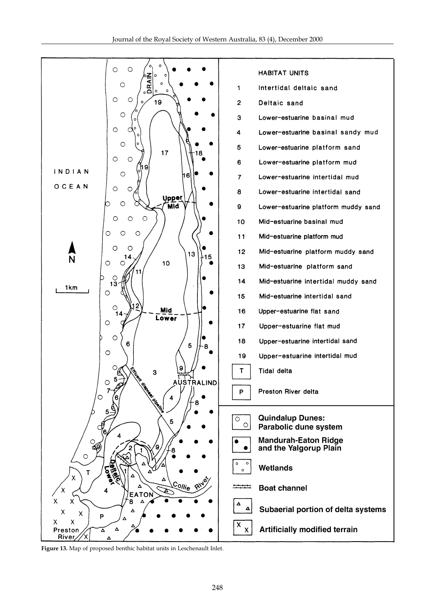

**Figure 13.** Map of proposed benthic habitat units in Leschenault Inlet.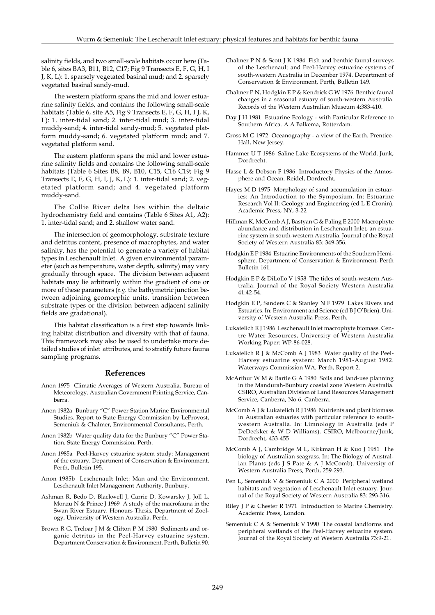salinity fields, and two small-scale habitats occur here (Table 6, sites BA3, B11, B12, C17; Fig 9 Transects E, F, G, H, I J, K, L): 1. sparsely vegetated basinal mud; and 2. sparsely vegetated basinal sandy-mud.

The western platform spans the mid and lower estuarine salinity fields, and contains the following small-scale habitats (Table 6, site A5, Fig 9 Transects E, F, G, H, I J, K, L): 1. inter-tidal sand; 2. inter-tidal mud; 3. inter-tidal muddy-sand; 4. inter-tidal sandy-mud; 5. vegetated platform muddy-sand; 6. vegetated platform mud; and 7. vegetated platform sand.

The eastern platform spans the mid and lower estuarine salinity fields and contains the following small-scale habitats (Table 6 Sites B8, B9, B10, C15, C16 C19; Fig 9 Transects E, F, G, H, I, J, K, L): 1. inter-tidal sand; 2. vegetated platform sand; and 4. vegetated platform muddy-sand.

The Collie River delta lies within the deltaic hydrochemistry field and contains (Table 6 Sites A1, A2): 1. inter-tidal sand; and 2. shallow water sand.

The intersection of geomorphology, substrate texture and detritus content, presence of macrophytes, and water salinity, has the potential to generate a variety of habitat types in Leschenault Inlet. A given environmental parameter (such as temperature, water depth, salinity) may vary gradually through space. The division between adjacent habitats may lie arbitrarily within the gradient of one or more of these parameters (*e.g.* the bathymetric junction between adjoining geomorphic units, transition between substrate types or the division between adjacent salinity fields are gradational).

This habitat classification is a first step towards linking habitat distribution and diversity with that of fauna. This framework may also be used to undertake more detailed studies of inlet attributes, and to stratify future fauna sampling programs.

# **References**

- Anon 1975 Climatic Averages of Western Australia. Bureau of Meteorology. Australian Government Printing Service, Canberra.
- Anon 1982a Bunbury "C" Power Station Marine Environmental Studies. Report to State Energy Commission by LeProvost, Semeniuk & Chalmer, Environmental Consultants, Perth.
- Anon 1982b Water quality data for the Bunbury "C" Power Station. State Energy Commission, Perth.
- Anon 1985a Peel-Harvey estuarine system study: Management of the estuary. Department of Conservation & Environment, Perth, Bulletin 195.
- Anon 1985b Leschenault Inlet: Man and the Environment. Leschenault Inlet Management Authority, Bunbury.
- Ashman R, Bedo D, Blackwell J, Carrie D, Kowarsky J, Joll L, Monzu N & Prince J 1969 A study of the macrofauna in the Swan River Estuary. Honours Thesis, Department of Zoology, University of Western Australia, Perth.
- Brown R G, Treloar J M & Clifton P M 1980 Sediments and organic detritus in the Peel-Harvey estuarine system. Department Conservation & Environment, Perth, Bulletin 90.
- Chalmer P N & Scott J K 1984 Fish and benthic faunal surveys of the Leschenault and Peel-Harvey estuarine systems of south-western Australia in December 1974. Department of Conservation & Environment, Perth, Bulletin 149.
- Chalmer P N, Hodgkin E P & Kendrick G W 1976 Benthic faunal changes in a seasonal estuary of south-western Australia. Records of the Western Australian Museum 4:383-410.
- Day J H 1981 Estuarine Ecology with Particular Reference to Southern Africa. A A Balkema, Rotterdam.
- Gross M G 1972 Oceanography a view of the Earth. Prentice-Hall, New Jersey.
- Hammer U T 1986 Saline Lake Ecosystems of the World. Junk, Dordrecht.
- Hasse L & Dobson F 1986 Introductory Physics of the Atmosphere and Ocean. Reidel, Dordrecht.
- Hayes M D 1975 Morphology of sand accumulation in estuaries: An Introduction to the Symposium. In: Estuarine Research Vol II: Geology and Engineering (ed L E Cronin). Academic Press, NY, 3-22
- Hillman K, McComb A J, Bastyan G & Paling E 2000 Macrophyte abundance and distribution in Leschenault Inlet, an estuarine system in south-western Australia. Journal of the Royal Society of Western Australia 83: 349-356.
- Hodgkin E P 1984 Estuarine Environments of the Southern Hemisphere. Department of Conservation & Environment, Perth Bulletin 161.
- Hodgkin E P & DiLollo V 1958 The tides of south-western Australia. Journal of the Royal Society Western Australia 41:42-54.
- Hodgkin E P, Sanders C & Stanley N F 1979 Lakes Rivers and Estuaries. In: Environment and Science (ed B J O'Brien). University of Western Australia Press, Perth.
- Lukatelich R J 1986 Leschenault Inlet macrophyte biomass. Centre Water Resources, University of Western Australia Working Paper: WP-86-028.
- Lukatelich R J & McComb A J 1983 Water quality of the Peel-Harvey estuarine system: March 1981-August 1982. Waterways Commission WA, Perth, Report 2.
- McArthur W M & Bartle G A 1980 Soils and land-use planning in the Mandurah-Bunbury coastal zone Western Australia. CSIRO, Australian Division of Land Resources Management Service, Canberra, No 6. Canberra.
- McComb A J & Lukatelich R J 1986 Nutrients and plant biomass in Australian estuaries with particular reference to southwestern Australia. In: Limnology in Australia (eds P DeDeckker & W D Williams). CSIRO, Melbourne/Junk, Dordrecht, 433-455
- McComb A J, Cambridge M L, Kirkman H & Kuo J 1981 The biology of Australian seagrass. In: The Biology of Australian Plants (eds J S Pate & A J McComb). University of Western Australia Press, Perth, 259-293.
- Pen L, Semeniuk V & Semeniuk C A 2000 Peripheral wetland habitats and vegetation of Leschenault Inlet estuary. Journal of the Royal Society of Western Australia 83: 293-316.
- Riley J P & Chester R 1971 Introduction to Marine Chemistry. Academic Press, London.
- Semeniuk C A & Semeniuk V 1990 The coastal landforms and peripheral wetlands of the Peel-Harvey estuarine system. Journal of the Royal Society of Western Australia 73:9-21.